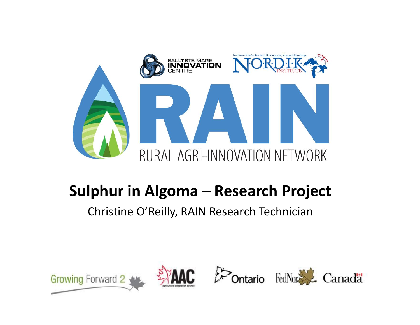

# **Sulphur in Algoma – Research Project**

#### Christine O'Reilly, RAIN Research Technician







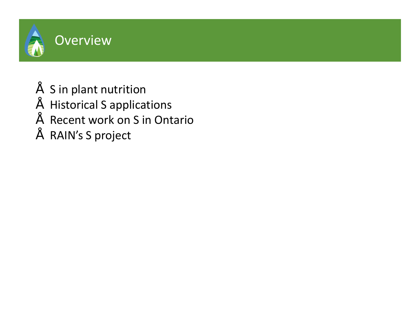

- $"$  S in plant nutrition
- Historical S applications
- $"$  Recent work on S in Ontario
- RAIN's S project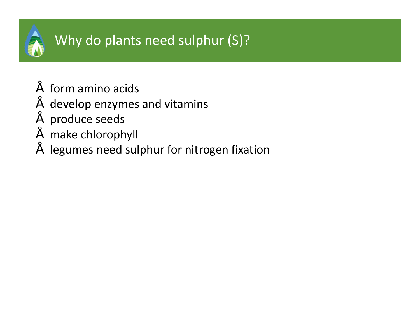

## Why do plants need sulphur (S)?

- $"$  form amino acids
- $"$  develop enzymes and vitamins
- produce seeds
- make chlorophyll
- legumes need sulphur for nitrogen fixation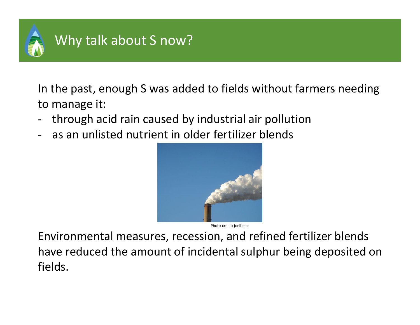

In the past, enough S was added to fields without farmers needing to manage it:

- through acid rain caused by industrial air pollution
- as an unlisted nutrient in older fertilizer blends



Photo credit: joelbeeb

Environmental measures, recession, and refined fertilizer blends have reduced the amount of incidental sulphur being deposited on fields.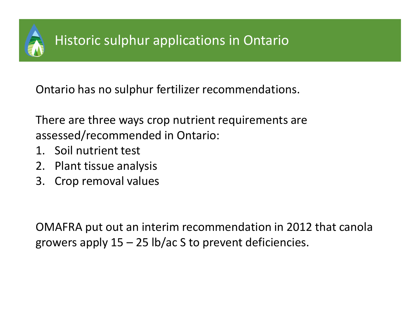

Ontario has no sulphur fertilizer recommendations.

There are three ways crop nutrient requirements are assessed/recommended in Ontario:

- 1. Soil nutrient test
- 2. Plant tissue analysis
- 3. Crop removal values

OMAFRA put out an interim recommendation in 2012 that canola growers apply  $15 - 25$  lb/ac S to prevent deficiencies.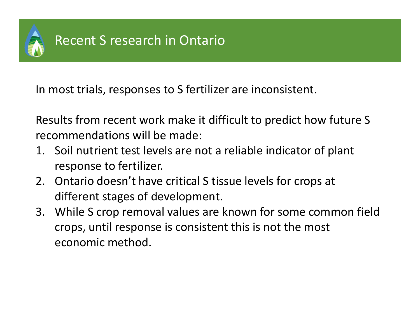

In most trials, responses to S fertilizer are inconsistent.

Results from recent work make it difficult to predict how future S recommendations will be made:

- 1. Soil nutrient test levels are not a reliable indicator of plant response to fertilizer.
- 2. Ontario doesn't have critical S tissue levels for crops at different stages of development.
- 3. While S crop removal values are known for some common field crops, until response is consistent this is not the most economic method.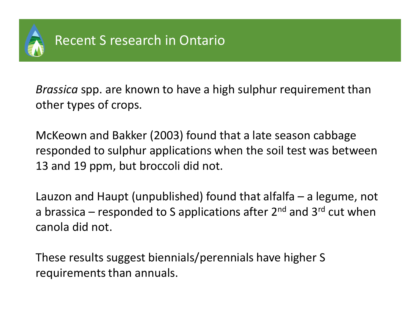

*Brassica* spp. are known to have a high sulphur requirement than other types of crops.

McKeown and Bakker (2003) found that a late season cabbage responded to sulphur applications when the soil test was between 13 and 19 ppm, but broccoli did not.

Lauzon and Haupt (unpublished) found that alfalfa – a legume, not a brassica – responded to S applications after  $2^{nd}$  and  $3^{rd}$  cut when canola did not.

These results suggest biennials/perennials have higher S requirements than annuals.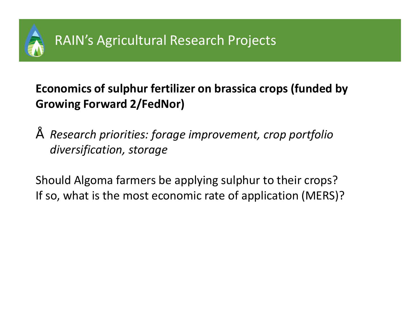

### **Economics of sulphur fertilizer on brassica crops (funded by Growing Forward 2/FedNor)**

• *Research priorities: forage improvement, crop portfolio diversification, storage*

Should Algoma farmers be applying sulphur to their crops? If so, what is the most economic rate of application (MERS)?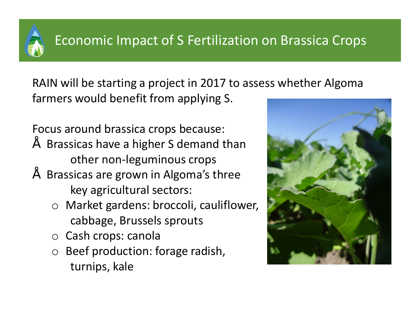### Economic Impact of S Fertilization on Brassica Crops

RAIN will be starting a project in 2017 to assess whether Algoma farmers would benefit from applying S.

Focus around brassica crops because:

- Brassicas have a higher S demand than other non-leguminous crops
- Brassicas are grown in Algoma's three key agricultural sectors:
	- o Market gardens: broccoli, cauliflower, cabbage, Brussels sprouts
	- o Cash crops: canola
	- o Beef production: forage radish, turnips, kale

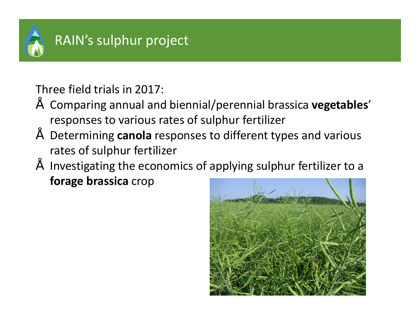

Three field trials in 2017:

- Comparing annual and biennial/perennial brassica **vegetables**' responses to various rates of sulphur fertilizer
- Determining **canola** responses to different types and various rates of sulphur fertilizer
- Investigating the economics of applying sulphur fertilizer to a **forage brassica** crop

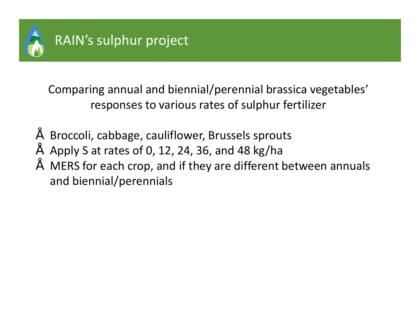

Comparing annual and biennial/perennial brassica vegetables' responses to various rates of sulphur fertilizer

- Broccoli, cabbage, cauliflower, Brussels sprouts
- Apply S at rates of 0, 12, 24, 36, and 48 kg/ha
- MERS for each crop, and if they are different between annuals and biennial/perennials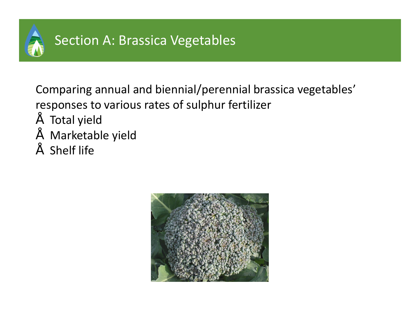

Comparing annual and biennial/perennial brassica vegetables' responses to various rates of sulphur fertilizer

- Total yield
- Marketable yield
- Shelf life

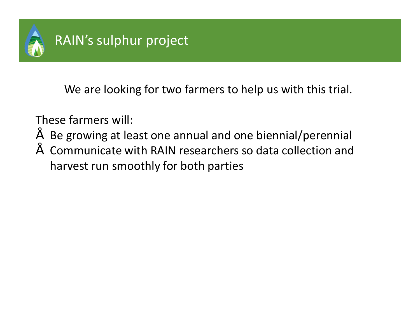

We are looking for two farmers to help us with this trial.

These farmers will:

- Be growing at least one annual and one biennial/perennial
- Communicate with RAIN researchers so data collection and harvest run smoothly for both parties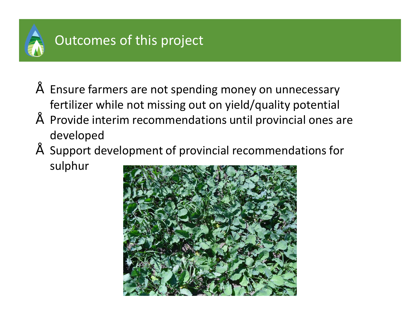

## Outcomes of this project

- Ensure farmers are not spending money on unnecessary fertilizer while not missing out on yield/quality potential
- Provide interim recommendations until provincial ones are developed
- Support development of provincial recommendations for sulphur

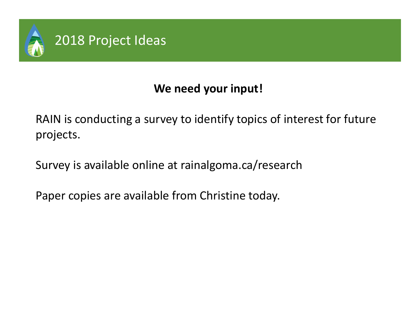

#### **We need your input!**

RAIN is conducting a survey to identify topics of interest for future projects.

Survey is available online at rainalgoma.ca/research

Paper copies are available from Christine today.